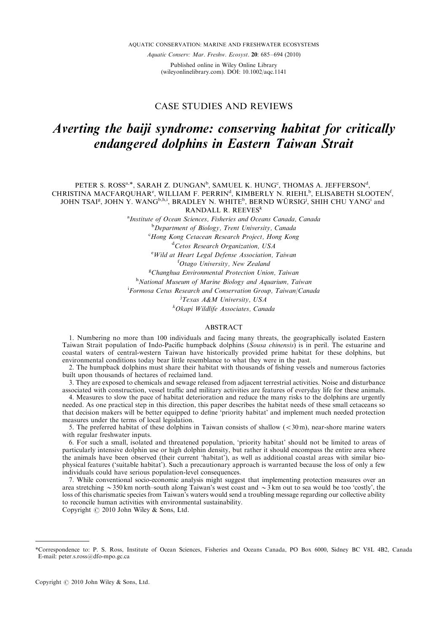AQUATIC CONSERVATION: MARINE AND FRESHWATER ECOSYSTEMS

Aquatic Conserv: Mar. Freshw. Ecosyst. 20: 685–694 (2010)

Published online in Wiley Online Library (wileyonlinelibrary.com). DOI: 10.1002/aqc.1141

## CASE STUDIES AND REVIEWS

# Averting the baiji syndrome: conserving habitat for critically endangered dolphins in Eastern Taiwan Strait

PETER S. ROSS<sup>a,\*</sup>, SARAH Z. DUNGAN<sup>b</sup>, SAMUEL K. HUNG<sup>c</sup>, THOMAS A. JEFFERSON<sup>d</sup>, CHRISTINA MACFARQUHAR<sup>e</sup>, WILLIAM F. PERRIN<sup>d</sup>, KIMBERLY N. RIEHL<sup>b</sup>, ELISABETH SLOOTEN<sup>f</sup>, JOHN TSAI<sup>g</sup>, JOHN Y. WANG<sup>b,h,i</sup>, BRADLEY N. WHITE<sup>b</sup>, BERND WÜRSIG<sup>i</sup>, SHIH CHU YANG<sup>i</sup> and RANDALL R. REEVES $k$ 

<sup>a</sup> Institute of Ocean Sciences, Fisheries and Oceans Canada, Canada

<sup>b</sup>Department of Biology, Trent University, Canada

<sup>c</sup>Hong Kong Cetacean Research Project, Hong Kong

<sup>d</sup>Cetos Research Organization, USA

<sup>e</sup> Wild at Heart Legal Defense Association, Taiwan

<sup>f</sup>Otago University, New Zealand

<sup>g</sup>Changhua Environmental Protection Union, Taiwan

<sup>h</sup>National Museum of Marine Biology and Aquarium, Taiwan

<sup>i</sup>Formosa Cetus Research and Conservation Group, Taiwan/Canada

<sup>j</sup>Texas A&M University, USA

k Okapi Wildlife Associates, Canada

#### ABSTRACT

1. Numbering no more than 100 individuals and facing many threats, the geographically isolated Eastern Taiwan Strait population of Indo-Pacific humpback dolphins (Sousa chinensis) is in peril. The estuarine and coastal waters of central-western Taiwan have historically provided prime habitat for these dolphins, but environmental conditions today bear little resemblance to what they were in the past.

2. The humpback dolphins must share their habitat with thousands of fishing vessels and numerous factories built upon thousands of hectares of reclaimed land.

3. They are exposed to chemicals and sewage released from adjacent terrestrial activities. Noise and disturbance associated with construction, vessel traffic and military activities are features of everyday life for these animals.

4. Measures to slow the pace of habitat deterioration and reduce the many risks to the dolphins are urgently needed. As one practical step in this direction, this paper describes the habitat needs of these small cetaceans so that decision makers will be better equipped to define 'priority habitat' and implement much needed protection measures under the terms of local legislation.

5. The preferred habitat of these dolphins in Taiwan consists of shallow  $( $30 \text{ m}$ ), near-shore marine waters$ with regular freshwater inputs.

6. For such a small, isolated and threatened population, 'priority habitat' should not be limited to areas of particularly intensive dolphin use or high dolphin density, but rather it should encompass the entire area where the animals have been observed (their current 'habitat'), as well as additional coastal areas with similar biophysical features ('suitable habitat'). Such a precautionary approach is warranted because the loss of only a few individuals could have serious population-level consequences.

7. While conventional socio-economic analysis might suggest that implementing protection measures over an area stretching  $\sim$  350 km north–south along Taiwan's west coast and  $\sim$  3 km out to sea would be too 'costly', the loss of this charismatic species from Taiwan's waters would send a troubling message regarding our collective ability to reconcile human activities with environmental sustainability. Copyright  $\odot$  2010 John Wiley & Sons, Ltd.

<sup>\*</sup>Correspondence to: P. S. Ross, Institute of Ocean Sciences, Fisheries and Oceans Canada, PO Box 6000, Sidney BC V8L 4B2, Canada E-mail: peter.s.ross@dfo-mpo.gc.ca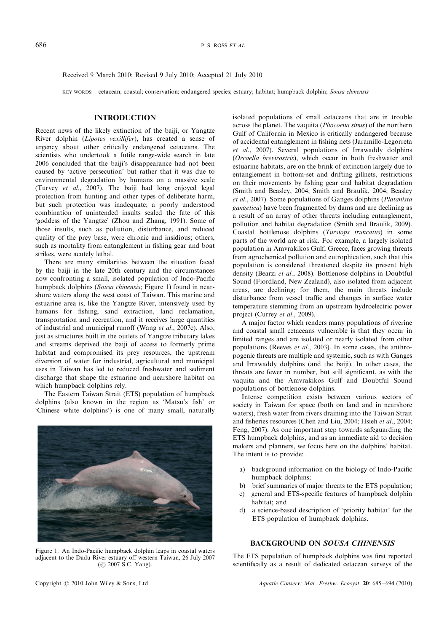Received 9 March 2010; Revised 9 July 2010; Accepted 21 July 2010

KEY WORDS: cetacean; coastal; conservation; endangered species; estuary; habitat; humpback dolphin; Sousa chinensis

## INTRODUCTION

Recent news of the likely extinction of the baiji, or Yangtze River dolphin (Lipotes vexillifer), has created a sense of urgency about other critically endangered cetaceans. The scientists who undertook a futile range-wide search in late 2006 concluded that the baiji's disappearance had not been caused by 'active persecution' but rather that it was due to environmental degradation by humans on a massive scale (Turvey et al., 2007). The baiji had long enjoyed legal protection from hunting and other types of deliberate harm, but such protection was inadequate; a poorly understood combination of unintended insults sealed the fate of this 'goddess of the Yangtze' (Zhou and Zhang, 1991). Some of those insults, such as pollution, disturbance, and reduced quality of the prey base, were chronic and insidious; others, such as mortality from entanglement in fishing gear and boat strikes, were acutely lethal.

There are many similarities between the situation faced by the baiji in the late 20th century and the circumstances now confronting a small, isolated population of Indo-Pacific humpback dolphins (Sousa chinensis; Figure 1) found in nearshore waters along the west coast of Taiwan. This marine and estuarine area is, like the Yangtze River, intensively used by humans for fishing, sand extraction, land reclamation, transportation and recreation, and it receives large quantities of industrial and municipal runoff (Wang et al., 2007c). Also, just as structures built in the outlets of Yangtze tributary lakes and streams deprived the baiji of access to formerly prime habitat and compromised its prey resources, the upstream diversion of water for industrial, agricultural and municipal uses in Taiwan has led to reduced freshwater and sediment discharge that shape the estuarine and nearshore habitat on which humpback dolphins rely.

The Eastern Taiwan Strait (ETS) population of humpback dolphins (also known in the region as 'Matsu's fish' or 'Chinese white dolphins') is one of many small, naturally



Figure 1. An Indo-Pacific humpback dolphin leaps in coastal waters adjacent to the Dadu River estuary off western Taiwan, 26 July 2007  $(C)$  2007 S.C. Yang).

isolated populations of small cetaceans that are in trouble across the planet. The vaquita (Phocoena sinus) of the northern Gulf of California in Mexico is critically endangered because of accidental entanglement in fishing nets (Jaramillo-Legorreta et al., 2007). Several populations of Irrawaddy dolphins (Orcaella brevirostris), which occur in both freshwater and estuarine habitats, are on the brink of extinction largely due to entanglement in bottom-set and drifting gillnets, restrictions on their movements by fishing gear and habitat degradation (Smith and Beasley, 2004; Smith and Braulik, 2004; Beasley et al., 2007). Some populations of Ganges dolphins (Platanista gangetica) have been fragmented by dams and are declining as a result of an array of other threats including entanglement, pollution and habitat degradation (Smith and Braulik, 2009). Coastal bottlenose dolphins (Tursiops truncatus) in some parts of the world are at risk. For example, a largely isolated population in Amvrakikos Gulf, Greece, faces growing threats from agrochemical pollution and eutrophication, such that this population is considered threatened despite its present high density (Bearzi et al., 2008). Bottlenose dolphins in Doubtful Sound (Fiordland, New Zealand), also isolated from adjacent areas, are declining; for them, the main threats include disturbance from vessel traffic and changes in surface water temperature stemming from an upstream hydroelectric power project (Currey et al., 2009).

A major factor which renders many populations of riverine and coastal small cetaceans vulnerable is that they occur in limited ranges and are isolated or nearly isolated from other populations (Reeves et al., 2003). In some cases, the anthropogenic threats are multiple and systemic, such as with Ganges and Irrawaddy dolphins (and the baiji). In other cases, the threats are fewer in number, but still significant, as with the vaquita and the Amvrakikos Gulf and Doubtful Sound populations of bottlenose dolphins.

Intense competition exists between various sectors of society in Taiwan for space (both on land and in nearshore waters), fresh water from rivers draining into the Taiwan Strait and fisheries resources (Chen and Liu, 2004; Hsieh et al., 2004; Feng, 2007). As one important step towards safeguarding the ETS humpback dolphins, and as an immediate aid to decision makers and planners, we focus here on the dolphins' habitat. The intent is to provide:

- a) background information on the biology of Indo-Pacific humpback dolphins;
- b) brief summaries of major threats to the ETS population;
- c) general and ETS-specific features of humpback dolphin habitat; and
- d) a science-based description of 'priority habitat' for the ETS population of humpback dolphins.

#### BACKGROUND ON SOUSA CHINENSIS

The ETS population of humpback dolphins was first reported scientifically as a result of dedicated cetacean surveys of the

Copyright © 2010 John Wiley & Sons, Ltd. Aquatic Conserv: Mar. Freshw. Ecosyst. 20: 685–694 (2010)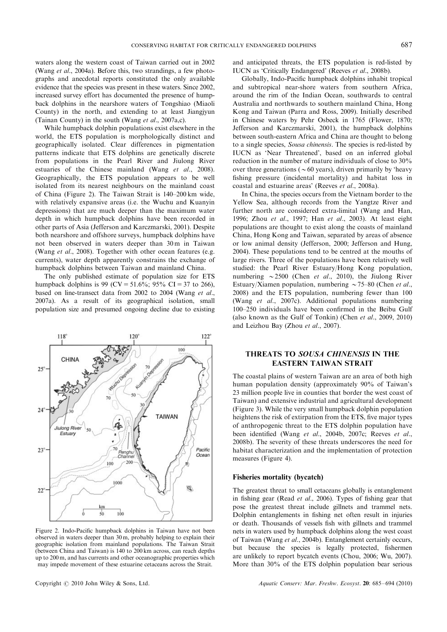waters along the western coast of Taiwan carried out in 2002 (Wang et al., 2004a). Before this, two strandings, a few photographs and anecdotal reports constituted the only available evidence that the species was present in these waters. Since 2002, increased survey effort has documented the presence of humpback dolphins in the nearshore waters of Tongshiao (Miaoli County) in the north, and extending to at least Jiangjyun (Tainan County) in the south (Wang et al., 2007a,c).

While humpback dolphin populations exist elsewhere in the world, the ETS population is morphologically distinct and geographically isolated. Clear differences in pigmentation patterns indicate that ETS dolphins are genetically discrete from populations in the Pearl River and Jiulong River estuaries of the Chinese mainland (Wang et al., 2008). Geographically, the ETS population appears to be well isolated from its nearest neighbours on the mainland coast of China (Figure 2). The Taiwan Strait is 140–200 km wide, with relatively expansive areas (i.e. the Wuchu and Kuanyin depressions) that are much deeper than the maximum water depth in which humpback dolphins have been recorded in other parts of Asia (Jefferson and Karczmarski, 2001). Despite both nearshore and offshore surveys, humpback dolphins have not been observed in waters deeper than 30 m in Taiwan (Wang et al., 2008). Together with other ocean features (e.g. currents), water depth apparently constrains the exchange of humpback dolphins between Taiwan and mainland China.

The only published estimate of population size for ETS humpback dolphins is 99 (CV = 51.6%; 95% CI = 37 to 266). based on line-transect data from 2002 to 2004 (Wang et al., 2007a). As a result of its geographical isolation, small population size and presumed ongoing decline due to existing



Figure 2. Indo-Pacific humpback dolphins in Taiwan have not been observed in waters deeper than 30 m, probably helping to explain their geographic isolation from mainland populations. The Taiwan Strait (between China and Taiwan) is 140 to 200 km across, can reach depths up to 200 m, and has currents and other oceanographic properties which may impede movement of these estuarine cetaceans across the Strait.

and anticipated threats, the ETS population is red-listed by IUCN as 'Critically Endangered' (Reeves et al., 2008b).

Globally, Indo-Pacific humpback dolphins inhabit tropical and subtropical near-shore waters from southern Africa, around the rim of the Indian Ocean, southwards to central Australia and northwards to southern mainland China, Hong Kong and Taiwan (Parra and Ross, 2009). Initially described in Chinese waters by Pehr Osbeck in 1765 (Flower, 1870; Jefferson and Karczmarski, 2001), the humpback dolphins between south-eastern Africa and China are thought to belong to a single species, Sousa chinensis. The species is red-listed by IUCN as 'Near Threatened', based on an inferred global reduction in the number of mature individuals of close to 30% over three generations ( $\sim 60$  years), driven primarily by 'heavy fishing pressure (incidental mortality) and habitat loss in coastal and estuarine areas' (Reeves et al., 2008a).

In China, the species occurs from the Vietnam border to the Yellow Sea, although records from the Yangtze River and further north are considered extra-limital (Wang and Han, 1996; Zhou et al., 1997; Han et al., 2003). At least eight populations are thought to exist along the coasts of mainland China, Hong Kong and Taiwan, separated by areas of absence or low animal density (Jefferson, 2000; Jefferson and Hung, 2004). These populations tend to be centred at the mouths of large rivers. Three of the populations have been relatively well studied: the Pearl River Estuary/Hong Kong population, numbering  $\sim$  2500 (Chen *et al.*, 2010), the Jiulong River Estuary/Xiamen population, numbering  $\sim$  75–80 (Chen et al., 2008) and the ETS population, numbering fewer than 100 (Wang et al., 2007c). Additional populations numbering 100–250 individuals have been confirmed in the Beibu Gulf (also known as the Gulf of Tonkin) (Chen et al., 2009, 2010) and Leizhou Bay (Zhou et al., 2007).

## THREATS TO SOUSA CHINENSIS IN THE EASTERN TAIWAN STRAIT

The coastal plains of western Taiwan are an area of both high human population density (approximately 90% of Taiwan's 23 million people live in counties that border the west coast of Taiwan) and extensive industrial and agricultural development (Figure 3). While the very small humpback dolphin population heightens the risk of extirpation from the ETS, five major types of anthropogenic threat to the ETS dolphin population have been identified (Wang et al., 2004b, 2007c; Reeves et al., 2008b). The severity of these threats underscores the need for habitat characterization and the implementation of protection measures (Figure 4).

#### Fisheries mortality (bycatch)

The greatest threat to small cetaceans globally is entanglement in fishing gear (Read et al., 2006). Types of fishing gear that pose the greatest threat include gillnets and trammel nets. Dolphin entanglements in fishing net often result in injuries or death. Thousands of vessels fish with gillnets and trammel nets in waters used by humpback dolphins along the west coast of Taiwan (Wang et al., 2004b). Entanglement certainly occurs, but because the species is legally protected, fishermen are unlikely to report bycatch events (Chou, 2006; Wu, 2007). More than 30% of the ETS dolphin population bear serious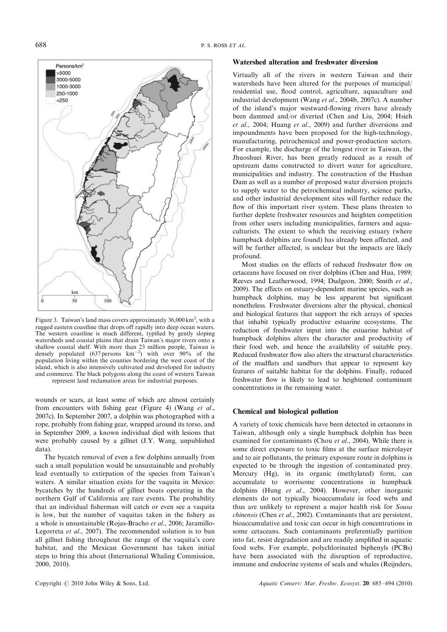

Figure 3. Taiwan's land mass covers approximately  $36,000 \text{ km}^2$ , with a rugged eastern coastline that drops off rapidly into deep ocean waters. The western coastline is much different, typified by gently sloping watersheds and coastal plains that drain Taiwan's major rivers onto a shallow coastal shelf. With more than 23 million people, Taiwan is densely populated  $(637 \text{ persons } \text{km}^{-2})$  with over 90% of the population living within the counties bordering the west coast of the island, which is also intensively cultivated and developed for industry and commerce. The black polygons along the coast of western Taiwan represent land reclamation areas for industrial purposes.

wounds or scars, at least some of which are almost certainly from encounters with fishing gear (Figure 4) (Wang et al., 2007c). In September 2007, a dolphin was photographed with a rope, probably from fishing gear, wrapped around its torso, and in September 2009, a known individual died with lesions that were probably caused by a gillnet (J.Y. Wang, unpublished data).

The bycatch removal of even a few dolphins annually from such a small population would be unsustainable and probably lead eventually to extirpation of the species from Taiwan's waters. A similar situation exists for the vaquita in Mexico: bycatches by the hundreds of gillnet boats operating in the northern Gulf of California are rare events. The probability that an individual fisherman will catch or even see a vaquita is low, but the number of vaquitas taken in the fishery as a whole is unsustainable (Rojas-Bracho et al., 2006; Jaramillo-Legorreta et al., 2007). The recommended solution is to ban all gillnet fishing throughout the range of the vaquita's core habitat, and the Mexican Government has taken initial steps to bring this about (International Whaling Commission, 2000, 2010).

#### Watershed alteration and freshwater diversion

Virtually all of the rivers in western Taiwan and their watersheds have been altered for the purposes of municipal/ residential use, flood control, agriculture, aquaculture and industrial development (Wang et al., 2004b, 2007c). A number of the island's major westward-flowing rivers have already been dammed and/or diverted (Chen and Liu, 2004; Hsieh et al., 2004; Huang et al., 2009) and further diversions and impoundments have been proposed for the high-technology, manufacturing, petrochemical and power-production sectors. For example, the discharge of the longest river in Taiwan, the Jhuoshuei River, has been greatly reduced as a result of upstream dams constructed to divert water for agriculture, municipalities and industry. The construction of the Hushan Dam as well as a number of proposed water diversion projects to supply water to the petrochemical industry, science parks, and other industrial development sites will further reduce the flow of this important river system. These plans threaten to further deplete freshwater resources and heighten competition from other users including municipalities, farmers and aquaculturists. The extent to which the receiving estuary (where humpback dolphins are found) has already been affected, and will be further affected, is unclear but the impacts are likely profound.

Most studies on the effects of reduced freshwater flow on cetaceans have focused on river dolphins (Chen and Hua, 1989; Reeves and Leatherwood, 1994; Dudgeon, 2000; Smith et al., 2009). The effects on estuary-dependent marine species, such as humpback dolphins, may be less apparent but significant nonetheless. Freshwater diversions alter the physical, chemical and biological features that support the rich arrays of species that inhabit typically productive estuarine ecosystems. The reduction of freshwater input into the estuarine habitat of humpback dolphins alters the character and productivity of their food web, and hence the availability of suitable prey. Reduced freshwater flow also alters the structural characteristics of the mudflats and sandbars that appear to represent key features of suitable habitat for the dolphins. Finally, reduced freshwater flow is likely to lead to heightened contaminant concentrations in the remaining water.

#### Chemical and biological pollution

A variety of toxic chemicals have been detected in cetaceans in Taiwan, although only a single humpback dolphin has been examined for contaminants (Chou et al., 2004). While there is some direct exposure to toxic films at the surface microlayer and to air pollutants, the primary exposure route in dolphins is expected to be through the ingestion of contaminated prey. Mercury (Hg), in its organic (methylated) form, can accumulate to worrisome concentrations in humpback dolphins (Hung et al., 2004). However, other inorganic elements do not typically bioaccumulate in food webs and thus are unlikely to represent a major health risk for Sousa chinensis (Chen et al., 2002). Contaminants that are persistent, bioaccumulative and toxic can occur in high concentrations in some cetaceans. Such contaminants preferentially partition into fat, resist degradation and are readily amplified in aquatic food webs. For example, polychlorinated biphenyls (PCBs) have been associated with the disruption of reproductive, immune and endocrine systems of seals and whales (Reijnders,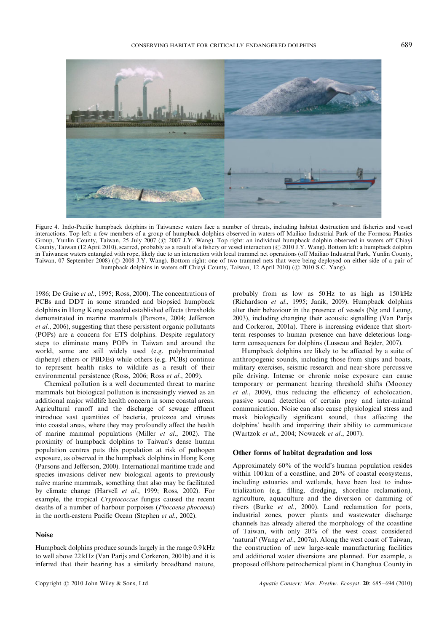

Figure 4. Indo-Pacific humpback dolphins in Taiwanese waters face a number of threats, including habitat destruction and fisheries and vessel interactions. Top left: a few members of a group of humpback dolphins observed in waters off Mailiao Industrial Park of the Formosa Plastics Group, Yunlin County, Taiwan, 25 July 2007  $\overline{(}$  2007 J.Y. Wang). Top right: an individual humpback dolphin observed in waters off Chiayi County, Taiwan (12 April 2010), scarred, probably as a result of a fishery or vessel interaction ( $\odot$  2010 J.Y. Wang). Bottom left: a humpback dolphin in Taiwanese waters entangled with rope, likely due to an interaction with local trammel net operations (off Mailiao Industrial Park, Yunlin County, Taiwan, 07 September 2008) ( $\odot$  2008 J.Y. Wang). Bottom right: one of two trammel nets that were being deployed on either side of a pair of humpback dolphins in waters off Chiayi County, Taiwan, 12 April 2010) ( $\odot$  2010 S.C. Yang).

1986; De Guise et al., 1995; Ross, 2000). The concentrations of PCBs and DDT in some stranded and biopsied humpback dolphins in Hong Kong exceeded established effects thresholds demonstrated in marine mammals (Parsons, 2004; Jefferson et al., 2006), suggesting that these persistent organic pollutants (POPs) are a concern for ETS dolphins. Despite regulatory steps to eliminate many POPs in Taiwan and around the world, some are still widely used (e.g. polybrominated diphenyl ethers or PBDEs) while others (e.g. PCBs) continue to represent health risks to wildlife as a result of their environmental persistence (Ross, 2006; Ross et al., 2009).

Chemical pollution is a well documented threat to marine mammals but biological pollution is increasingly viewed as an additional major wildlife health concern in some coastal areas. Agricultural runoff and the discharge of sewage effluent introduce vast quantities of bacteria, protozoa and viruses into coastal areas, where they may profoundly affect the health of marine mammal populations (Miller et al., 2002). The proximity of humpback dolphins to Taiwan's dense human population centres puts this population at risk of pathogen exposure, as observed in the humpback dolphins in Hong Kong (Parsons and Jefferson, 2000). International maritime trade and species invasions deliver new biological agents to previously naïve marine mammals, something that also may be facilitated by climate change (Harvell et al., 1999; Ross, 2002). For example, the tropical Cryptococcus fungus caused the recent deaths of a number of harbour porpoises (Phocoena phocoena) in the north-eastern Pacific Ocean (Stephen et al., 2002).

#### Noise

Humpback dolphins produce sounds largely in the range 0.9 kHz to well above 22 kHz (Van Parijs and Corkeron, 2001b) and it is inferred that their hearing has a similarly broadband nature,

probably from as low as 50 Hz to as high as 150 kHz (Richardson et al., 1995; Janik, 2009). Humpback dolphins alter their behaviour in the presence of vessels (Ng and Leung, 2003), including changing their acoustic signalling (Van Parijs and Corkeron, 2001a). There is increasing evidence that shortterm responses to human presence can have deleterious longterm consequences for dolphins (Lusseau and Bejder, 2007).

Humpback dolphins are likely to be affected by a suite of anthropogenic sounds, including those from ships and boats, military exercises, seismic research and near-shore percussive pile driving. Intense or chronic noise exposure can cause temporary or permanent hearing threshold shifts (Mooney et al., 2009), thus reducing the efficiency of echolocation, passive sound detection of certain prey and inter-animal communication. Noise can also cause physiological stress and mask biologically significant sound, thus affecting the dolphins' health and impairing their ability to communicate (Wartzok et al., 2004; Nowacek et al., 2007).

#### Other forms of habitat degradation and loss

Approximately 60% of the world's human population resides within 100 km of a coastline, and 20% of coastal ecosystems, including estuaries and wetlands, have been lost to industrialization (e.g. filling, dredging, shoreline reclamation), agriculture, aquaculture and the diversion or damming of rivers (Burke et al., 2000). Land reclamation for ports, industrial zones, power plants and wastewater discharge channels has already altered the morphology of the coastline of Taiwan, with only 20% of the west coast considered 'natural' (Wang et al., 2007a). Along the west coast of Taiwan, the construction of new large-scale manufacturing facilities and additional water diversions are planned. For example, a proposed offshore petrochemical plant in Changhua County in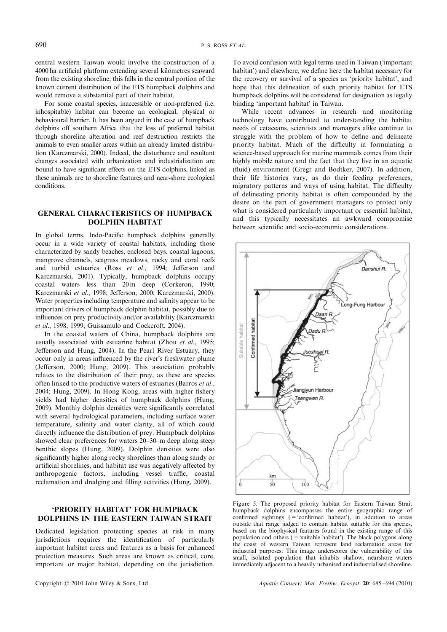central western Taiwan would involve the construction of a 4000 ha artificial platform extending several kilometres seaward from the existing shoreline; this falls in the central portion of the known current distribution of the ETS humpback dolphins and would remove a substantial part of their habitat.

For some coastal species, inaccessible or non-preferred (i.e. inhospitable) habitat can become an ecological, physical or behavioural barrier. It has been argued in the case of humpback dolphins off southern Africa that the loss of preferred habitat through shoreline alteration and reef destruction restricts the animals to even smaller areas within an already limited distribution (Karczmarski, 2000). Indeed, the disturbance and resultant changes associated with urbanization and industrialization are bound to have significant effects on the ETS dolphins, linked as these animals are to shoreline features and near-shore ecological conditions.

## GENERAL CHARACTERISTICS OF HUMPBACK DOLPHIN HABITAT

In global terms, Indo-Pacific humpback dolphins generally occur in a wide variety of coastal habitats, including those characterized by sandy beaches, enclosed bays, coastal lagoons, mangrove channels, seagrass meadows, rocky and coral reefs and turbid estuaries (Ross et al., 1994; Jefferson and Karczmarski, 2001). Typically, humpback dolphins occupy coastal waters less than 20 m deep (Corkeron, 1990; Karczmarski et al., 1998; Jefferson, 2000; Karczmarski, 2000). Water properties including temperature and salinity appear to be important drivers of humpback dolphin habitat, possibly due to influences on prey productivity and/or availability (Karczmarski et al., 1998, 1999; Guissamulo and Cockcroft, 2004).

In the coastal waters of China, humpback dolphins are usually associated with estuarine habitat (Zhou et al., 1995; Jefferson and Hung, 2004). In the Pearl River Estuary, they occur only in areas influenced by the river's freshwater plume (Jefferson, 2000; Hung, 2009). This association probably relates to the distribution of their prey, as these are species often linked to the productive waters of estuaries (Barros et al., 2004; Hung, 2009). In Hong Kong, areas with higher fishery yields had higher densities of humpback dolphins (Hung, 2009). Monthly dolphin densities were significantly correlated with several hydrological parameters, including surface water temperature, salinity and water clarity, all of which could directly influence the distribution of prey. Humpback dolphins showed clear preferences for waters 20–30–m deep along steep benthic slopes (Hung, 2009). Dolphin densities were also significantly higher along rocky shorelines than along sandy or artificial shorelines, and habitat use was negatively affected by anthropogenic factors, including vessel traffic, coastal reclamation and dredging and filling activities (Hung, 2009).

## 'PRIORITY HABITAT' FOR HUMPBACK DOLPHINS IN THE EASTERN TAIWAN STRAIT

Dedicated legislation protecting species at risk in many jurisdictions requires the identification of particularly important habitat areas and features as a basis for enhanced protection measures. Such areas are known as critical, core, important or major habitat, depending on the jurisdiction. To avoid confusion with legal terms used in Taiwan ('important habitat') and elsewhere, we define here the habitat necessary for the recovery or survival of a species as 'priority habitat', and hope that this delineation of such priority habitat for ETS humpback dolphins will be considered for designation as legally binding 'important habitat' in Taiwan.

While recent advances in research and monitoring technology have contributed to understanding the habitat needs of cetaceans, scientists and managers alike continue to struggle with the problem of how to define and delineate priority habitat. Much of the difficulty in formulating a science-based approach for marine mammals comes from their highly mobile nature and the fact that they live in an aquatic (fluid) environment (Gregr and Bodtker, 2007). In addition, their life histories vary, as do their feeding preferences, migratory patterns and ways of using habitat. The difficulty of delineating priority habitat is often compounded by the desire on the part of government managers to protect only what is considered particularly important or essential habitat, and this typically necessitates an awkward compromise between scientific and socio-economic considerations.



Figure 5. The proposed priority habitat for Eastern Taiwan Strait humpback dolphins encompasses the entire geographic range of confirmed sightings  $($  = 'confirmed habitat'), in addition to areas outside that range judged to contain habitat suitable for this species, based on the biophysical features found in the existing range of this population and others  $($  = 'suitable habitat'). The black polygons along the coast of western Taiwan represent land reclamation areas for industrial purposes. This image underscores the vulnerability of this small, isolated population that inhabits shallow, nearshore waters immediately adjacent to a heavily urbanised and industrialised shoreline.

Copyright © 2010 John Wiley & Sons, Ltd. Aquatic Conserv: Mar. Freshw. Ecosyst. 20: 685–694 (2010)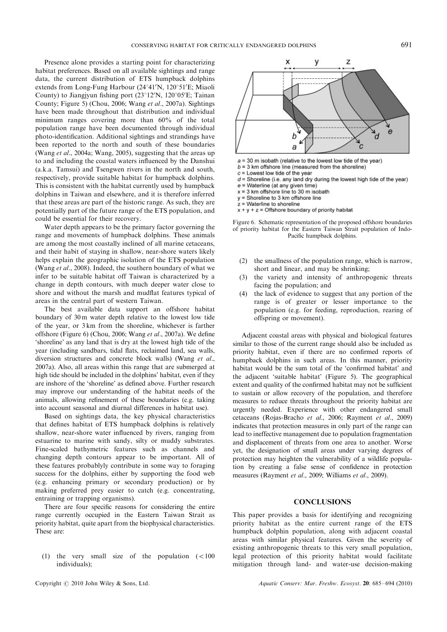Presence alone provides a starting point for characterizing habitat preferences. Based on all available sightings and range data, the current distribution of ETS humpback dolphins extends from Long-Fung Harbour (24°41'N, 120°51'E; Miaoli County) to Jiangjyun fishing port (23°12'N, 120°05'E; Tainan County; Figure 5) (Chou, 2006; Wang et al., 2007a). Sightings have been made throughout that distribution and individual minimum ranges covering more than 60% of the total population range have been documented through individual photo-identification. Additional sightings and strandings have been reported to the north and south of these boundaries (Wang *et al.*, 2004a; Wang, 2005), suggesting that the areas up to and including the coastal waters influenced by the Danshui (a.k.a. Tamsui) and Tsengwen rivers in the north and south, respectively, provide suitable habitat for humpback dolphins. This is consistent with the habitat currently used by humpback dolphins in Taiwan and elsewhere, and it is therefore inferred that these areas are part of the historic range. As such, they are potentially part of the future range of the ETS population, and could be essential for their recovery.

Water depth appears to be the primary factor governing the range and movements of humpback dolphins. These animals are among the most coastally inclined of all marine cetaceans, and their habit of staying in shallow, near-shore waters likely helps explain the geographic isolation of the ETS population (Wang et al., 2008). Indeed, the southern boundary of what we infer to be suitable habitat off Taiwan is characterized by a change in depth contours, with much deeper water close to shore and without the marsh and mudflat features typical of areas in the central part of western Taiwan.

The best available data support an offshore habitat boundary of 30 m water depth relative to the lowest low tide of the year, or 3 km from the shoreline, whichever is farther offshore (Figure 6) (Chou, 2006; Wang et al., 2007a). We define 'shoreline' as any land that is dry at the lowest high tide of the year (including sandbars, tidal flats, reclaimed land, sea walls, diversion structures and concrete block walls) (Wang et al., 2007a). Also, all areas within this range that are submerged at high tide should be included in the dolphins' habitat, even if they are inshore of the 'shoreline' as defined above. Further research may improve our understanding of the habitat needs of the animals, allowing refinement of these boundaries (e.g. taking into account seasonal and diurnal differences in habitat use).

Based on sightings data, the key physical characteristics that defines habitat of ETS humpback dolphins is relatively shallow, near-shore water influenced by rivers, ranging from estuarine to marine with sandy, silty or muddy substrates. Fine-scaled bathymetric features such as channels and changing depth contours appear to be important. All of these features probablyly contribute in some way to foraging success for the dolphins, either by supporting the food web (e.g. enhancing primary or secondary production) or by making preferred prey easier to catch (e.g. concentrating, entraining or trapping organisms).

There are four specific reasons for considering the entire range currently occupied in the Eastern Taiwan Strait as priority habitat, quite apart from the biophysical characteristics. These are:

(1) the very small size of the population  $\epsilon$  (<100) individuals);



- $c$  = Lowest low tide of the year
- $d$  = Shoreline (i.e. any land dry during the lowest high tide of the year)
- e = Waterline (at any given time)
- $x = 3$  km offshore line to 30 m isobath
- $v =$  Shoreline to 3 km offshore line
- $z =$  Waterline to shoreline
- $x + y + z =$  Offshore boundary of priority habitat

Figure 6. Schematic representation of the proposed offshore boundaries of priority habitat for the Eastern Taiwan Strait population of Indo-Pacific humpback dolphins.

- (2) the smallness of the population range, which is narrow, short and linear, and may be shrinking;
- (3) the variety and intensity of anthropogenic threats facing the population; and
- (4) the lack of evidence to suggest that any portion of the range is of greater or lesser importance to the population (e.g. for feeding, reproduction, rearing of offspring or movement).

Adjacent coastal areas with physical and biological features similar to those of the current range should also be included as priority habitat, even if there are no confirmed reports of humpback dolphins in such areas. In this manner, priority habitat would be the sum total of the 'confirmed habitat' and the adjacent 'suitable habitat' (Figure 5). The geographical extent and quality of the confirmed habitat may not be sufficient to sustain or allow recovery of the population, and therefore measures to reduce threats throughout the priority habitat are urgently needed. Experience with other endangered small cetaceans (Rojas-Bracho et al., 2006; Rayment et al., 2009) indicates that protection measures in only part of the range can lead to ineffective management due to population fragmentation and displacement of threats from one area to another. Worse yet, the designation of small areas under varying degrees of protection may heighten the vulnerability of a wildlife population by creating a false sense of confidence in protection measures (Rayment et al., 2009; Williams et al., 2009).

### **CONCLUSIONS**

This paper provides a basis for identifying and recognizing priority habitat as the entire current range of the ETS humpback dolphin population, along with adjacent coastal areas with similar physical features. Given the severity of existing anthropogenic threats to this very small population, legal protection of this priority habitat would facilitate mitigation through land- and water-use decision-making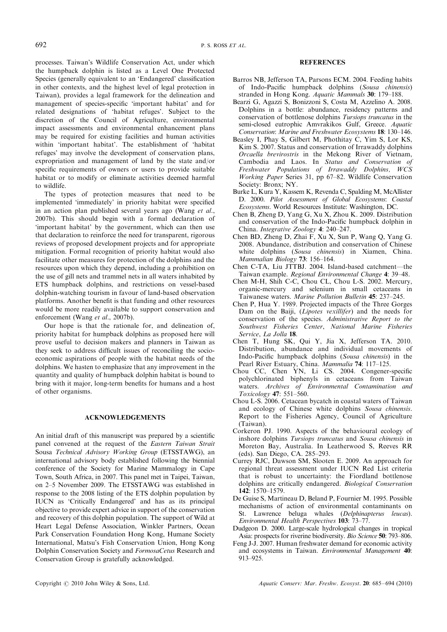processes. Taiwan's Wildlife Conservation Act, under which the humpback dolphin is listed as a Level One Protected Species (generally equivalent to an 'Endangered' classification in other contexts, and the highest level of legal protection in Taiwan), provides a legal framework for the delineation and management of species-specific 'important habitat' and for related designations of 'habitat refuges'. Subject to the discretion of the Council of Agriculture, environmental impact assessments and environmental enhancement plans may be required for existing facilities and human activities within 'important habitat'. The establishment of 'habitat refuges' may involve the development of conservation plans, expropriation and management of land by the state and/or specific requirements of owners or users to provide suitable habitat or to modify or eliminate activities deemed harmful to wildlife.

The types of protection measures that need to be implemented 'immediately' in priority habitat were specified in an action plan published several years ago (Wang et al., 2007b). This should begin with a formal declaration of 'important habitat' by the government, which can then use that declaration to reinforce the need for transparent, rigorous reviews of proposed development projects and for appropriate mitigation. Formal recognition of priority habitat would also facilitate other measures for protection of the dolphins and the resources upon which they depend, including a prohibition on the use of gill nets and trammel nets in all waters inhabited by ETS humpback dolphins, and restrictions on vessel-based dolphin-watching tourism in favour of land-based observation platforms. Another benefit is that funding and other resources would be more readily available to support conservation and enforcement (Wang et al., 2007b).

Our hope is that the rationale for, and delineation of, priority habitat for humpback dolphins as proposed here will prove useful to decision makers and planners in Taiwan as they seek to address difficult issues of reconciling the socioeconomic aspirations of people with the habitat needs of the dolphins. We hasten to emphasize that any improvement in the quantity and quality of humpback dolphin habitat is bound to bring with it major, long-term benefits for humans and a host of other organisms.

#### ACKNOWLEDGEMENTS

An initial draft of this manuscript was prepared by a scientific panel convened at the request of the Eastern Taiwan Strait Sousa Technical Advisory Working Group (ETSSTAWG), an international advisory body established following the biennial conference of the Society for Marine Mammalogy in Cape Town, South Africa, in 2007. This panel met in Taipei, Taiwan, on 2–5 November 2009. The ETSSTAWG was established in response to the 2008 listing of the ETS dolphin population by IUCN as 'Critically Endangered' and has as its principal objective to provide expert advice in support of the conservation and recovery of this dolphin population. The support of Wild at Heart Legal Defense Association, Winkler Partners, Ocean Park Conservation Foundation Hong Kong, Humane Society International, Matsu's Fish Conservation Union, Hong Kong Dolphin Conservation Society and FormosaCetus Research and Conservation Group is gratefully acknowledged.

#### **REFERENCES**

- Barros NB, Jefferson TA, Parsons ECM. 2004. Feeding habits of Indo-Pacific humpback dolphins (Sousa chinensis) stranded in Hong Kong. Aquatic Mammals 30: 179–188.
- Bearzi G, Agazzi S, Bonizzoni S, Costa M, Azzelino A. 2008. Dolphins in a bottle: abundance, residency patterns and conservation of bottlenose dolphins Tursiops truncatus in the semi-closed eutrophic Amvrakikos Gulf, Greece. Aquatic Conservation: Marine and Freshwater Ecosystems 18: 130–146.
- Beasley I, Phay S, Gilbert M, Phothitay C, Yim S, Lor KS, Kim S. 2007. Status and conservation of Irrawaddy dolphins Orcaella brevirostris in the Mekong River of Vietnam, Cambodia and Laos. In Status and Conservation of Freshwater Populations of Irrawaddy Dolphins, WCS Working Paper Series 31, pp 67–82. Wildlife Conservation Society: Bronx; NY.
- Burke L, Kura Y, Kassem K, Revenda C, Spalding M, McAllister D. 2000. Pilot Assessment of Global Ecosystems: Coastal Ecosystems. World Resources Institute: Washington, DC.
- Chen B, Zheng D, Yang G, Xu X, Zhou K. 2009. Distribution and conservation of the Indo-Pacific humpback dolphin in China. Integrative Zoology 4: 240–247.
- Chen BD, Zheng D, Zhai F, Xu X, Sun P, Wang Q, Yang G. 2008. Abundance, distribution and conservation of Chinese white dolphins (Sousa chinensis) in Xiamen, China. Mammalian Biology 73: 156–164.
- Chen C-TA, Liu JTTBJ. 2004. Island-based catchment—the Taiwan example. Regional Environmental Change 4: 39-48.
- Chen M-H, Shih C-C, Chou CL, Chou L-S. 2002. Mercury, organic-mercury and selenium in small cetaceans in Taiwanese waters. Marine Pollution Bulletin 45: 237–245.
- Chen P, Hua Y. 1989. Projected impacts of the Three Gorges Dam on the Baiji, (*Lipotes vexillifer*) and the needs for conservation of the species. Administrative Report to the Southwest Fisheries Center, National Marine Fisheries Service, La Jolla 18.
- Chen T, Hung SK, Qui Y, Jia X, Jefferson TA. 2010. Distribution, abundance and individual movements of Indo-Pacific humpback dolphins (Sousa chinensis) in the Pearl River Estuary, China. Mammalia 74: 117–125.
- Chou CC, Chen YN, Li CS. 2004. Congener-specific polychlorinated biphenyls in cetaceans from Taiwan waters. Archives of Environmental Contamination and Toxicology 47: 551–560.
- Chou L-S. 2006. Cetacean bycatch in coastal waters of Taiwan and ecology of Chinese white dolphins Sousa chinensis. Report to the Fisheries Agency, Council of Agriculture (Taiwan).
- Corkeron PJ. 1990. Aspects of the behavioural ecology of inshore dolphins Tursiops truncatus and Sousa chinensis in Moreton Bay, Australia. In Leatherwood S, Reeves RR (eds). San Diego, CA. 285–293.
- Currey RJC, Dawson SM, Slooten E. 2009. An approach for regional threat assessment under IUCN Red List criteria that is robust to uncertainty: the Fiordland bottlenose dolphins are critically endangered. Biological Conservation 142: 1570–1579.
- De Guise S, Martineau D, Beland P, Fournier M. 1995. Possible mechanisms of action of environmental contaminants on St. Lawrence beluga whales (Delphinapterus leucas). Environmental Health Perspectives 103: 73–77.
- Dudgeon D. 2000. Large-scale hydrological changes in tropical Asia: prospects for riverine biodiversity. Bio Science 50: 793–806.
- Feng J-J. 2007. Human freshwater demand for economic activity and ecosystems in Taiwan. Environmental Management 40: 913–925.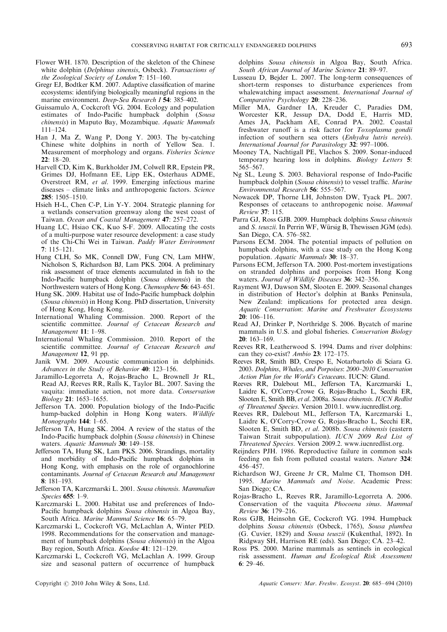- Flower WH. 1870. Description of the skeleton of the Chinese white dolphin (Delphinus sinensis, Osbeck). Transactions of the Zoological Society of London 7: 151–160.
- Gregr EJ, Bodtker KM. 2007. Adaptive classification of marine ecosystems: identifying biologically meaningful regions in the marine environment. Deep-Sea Research I 54: 385–402.
- Guissamulo A, Cockcroft VG. 2004. Ecology and population estimates of Indo-Pacific humpback dolphin (Sousa chinensis) in Maputo Bay, Mozambique. Aquatic Mammals 111–124.
- Han J, Ma Z, Wang P, Dong Y. 2003. The by-catching Chinese white dolphins in north of Yellow Sea. 1. Measurement of morphology and organs. Fisheries Science 22: 18–20.
- Harvell CD, Kim K, Burkholder JM, Colwell RR, Epstein PR, Grimes DJ, Hofmann EE, Lipp EK, Osterhaus ADME, Overstreet RM, et al. 1999. Emerging infectious marine diseases – climate links and anthropogenic factors. Science 285: 1505–1510.
- Hsieh H-L, Chen C-P, Lin Y-Y. 2004. Strategic planning for a wetlands conservation greenway along the west coast of Taiwan. Ocean and Coastal Management 47: 257–272.
- Huang LC, Hsiao CK, Kuo S-F. 2009. Allocating the costs of a multi-purpose water resource development: a case study of the Chi-Chi Wei in Taiwan. Paddy Water Environment  $7: 115 - 121$ .
- Hung CLH, So MK, Connell DW, Fung CN, Lam MHW, Nicholson S, Richardson BJ, Lam PKS. 2004. A preliminary risk assessment of trace elements accumulated in fish to the Indo-Pacific humpback dolphin (Sousa chinensis) in the Northwestern waters of Hong Kong. Chemosphere 56: 643–651.
- Hung SK. 2009. Habitat use of Indo-Pacific humpback dolphin (Sousa chinensis) in Hong Kong. PhD dissertation, University of Hong Kong, Hong Kong.
- International Whaling Commission. 2000. Report of the scientific committee. Journal of Cetacean Research and Management 11: 1–98.
- International Whaling Commission. 2010. Report of the scientific committee. Journal of Cetacean Research and Management 12, 91 pp.
- Janik VM. 2009. Acoustic communication in delphinids. Advances in the Study of Behavior 40: 123–156.
- Jaramillo-Legorreta A, Rojas-Bracho L, Brownell Jr RL, Read AJ, Reeves RR, Ralls K, Taylor BL. 2007. Saving the vaquita: immediate action, not more data. Conservation Biology 21: 1653–1655.
- Jefferson TA. 2000. Population biology of the Indo-Pacific hump-backed dolphin in Hong Kong waters. Wildlife Monographs 144: 1–65.
- Jefferson TA, Hung SK. 2004. A review of the status of the Indo-Pacific humpback dolphin (Sousa chinensis) in Chinese waters. Aquatic Mammals 30: 149–158.
- Jefferson TA, Hung SK, Lam PKS. 2006. Strandings, mortality and morbidity of Indo-Pacific humpback dolphins in Hong Kong, with emphasis on the role of organochlorine contaminants. Journal of Cetacean Research and Management 8: 181–193.
- Jefferson TA, Karczmarski L. 2001. Sousa chinensis. Mammalian Species 655: 1–9.
- Karczmarski L. 2000. Habitat use and preferences of Indo-Pacific humpback dolphins Sousa chinensis in Algoa Bay, South Africa. Marine Mammal Science 16: 65–79.
- Karczmarski L, Cockcroft VG, McLachlan A, Winter PED. 1998. Recommendations for the conservation and management of humpback dolphins (Sousa chinensis) in the Algoa Bay region, South Africa. Koedoe 41: 121–129.
- Karczmarski L, Cockcroft VG, McLachlan A. 1999. Group size and seasonal pattern of occurrence of humpback

dolphins Sousa chinensis in Algoa Bay, South Africa. South African Journal of Marine Science 21: 89-97.

- Lusseau D, Bejder L. 2007. The long-term consequences of short-term responses to disturbance experiences from whalewatching impact assessment. International Journal of Comparative Psychology 20: 228–236.
- Miller MA, Gardner IA, Kreuder C, Paradies DM, Worcester KR, Jessup DA, Dodd E, Harris MD, Ames JA, Packham AE, Conrad PA. 2002. Coastal freshwater runoff is a risk factor for Toxoplasma gondii infection of southern sea otters (Enhydra lutris nereis). International Journal for Parasitology 32: 997–1006.
- Mooney TA, Nachtigall PE, Vlachos S. 2009. Sonar-induced temporary hearing loss in dolphins. Biology Letters 5: 565–567.
- Ng SL, Leung S. 2003. Behavioral response of Indo-Pacific humpback dolphin (Sousa chinensis) to vessel traffic. Marine Environmental Research 56: 555–567.
- Nowacek DP, Thorne LH, Johnston DW, Tyack PL. 2007. Responses of cetaceans to anthropogenic noise. Mammal Review 37: 115.
- Parra GJ, Ross GJB. 2009. Humpback dolphins Sousa chinensis and S. teuszii. In Perrin WF, Würsig B, Thewissen JGM (eds). San Diego, CA. 576–582.
- Parsons ECM. 2004. The potential impacts of pollution on humpback dolphins, with a case study on the Hong Kong population. Aquatic Mammals 30: 18–37.
- Parsons ECM, Jefferson TA. 2000. Post-mortem investigations on stranded dolphins and porpoises from Hong Kong waters. Journal of Wildlife Diseases 36: 342–356.
- Rayment WJ, Dawson SM, Slooten E. 2009. Seasonal changes in distribution of Hector's dolphin at Banks Peninsula, New Zealand: implications for protected area design. Aquatic Conservation: Marine and Freshwater Ecosystems  $20: 106 - 116.$
- Read AJ, Drinker P, Northridge S. 2006. Bycatch of marine mammals in U.S. and global fisheries. Conservation Biology 20: 163–169.
- Reeves RR, Leatherwood S. 1994. Dams and river dolphins: can they co-exist? Ambio 23: 172–175.
- Reeves RR, Smith BD, Crespo E, Notarbartolo di Sciara G. 2003. Dolphins, Whales, and Porpoises: 2000–2010 Conservation Action Plan for the World's Cetaceans. IUCN: Gland.
- Reeves RR, Dalebout ML, Jefferson TA, Karczmarski L, Laidre K, O'Corry-Crowe G, Rojas-Bracho L, Secchi ER, Slooten E, Smith BB, et al. 2008a. Sousa chinensis. IUCN Redlist of Threatened Species. Version 2010.1. www.iucnredlist.org.
- Reeves RR, Dalebout ML, Jefferson TA, Karczmarski L, Laidre K, O'Corry-Crowe G, Rojas-Bracho L, Secchi ER, Slooten E, Smith BD, et al. 2008b. Sousa chinensis (eastern Taiwan Strait subpopulation). IUCN 2009 Red List of Threatened Species. Version 2009.2. www.iucnredlist.org.
- Reijnders PJH. 1986. Reproductive failure in common seals feeding on fish from polluted coastal waters. Nature 324: 456–457.
- Richardson WJ, Greene Jr CR, Malme CI, Thomson DH. 1995. Marine Mammals and Noise. Academic Press: San Diego; CA.
- Rojas-Bracho L, Reeves RR, Jaramillo-Legorreta A. 2006. Conservation of the vaquita Phocoena sinus. Mammal Review 36: 179–216.
- Ross GJB, Heinsohn GE, Cockcroft VG. 1994. Humpback dolphins Sousa chinensis (Osbeck, 1765), Sousa plumbea (G. Cuvier, 1829) and Sousa teuszii (Kukenthal, 1892). In Ridgway SH, Harrison RE (eds). San Diego; CA. 23–42.
- Ross PS. 2000. Marine mammals as sentinels in ecological risk assessment. Human and Ecological Risk Assessment 6: 29–46.